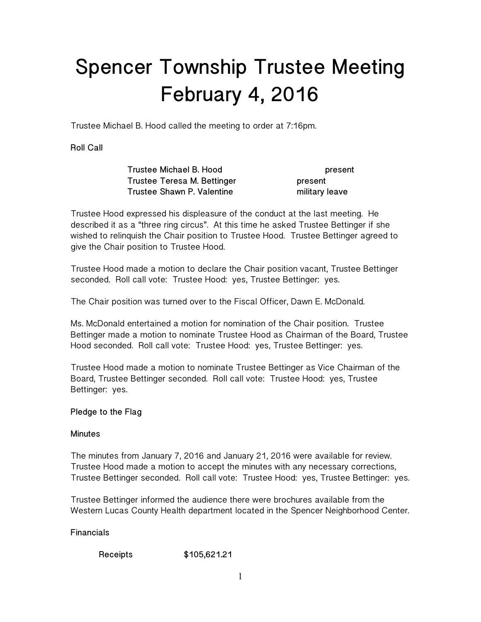# **Spencer Township Trustee Meeting February 4, 2016**

Trustee Michael B. Hood called the meeting to order at 7:16pm.

**Roll Call** 

 **Trustee Michael B. Hood present Trustee Teresa M. Bettinger by a strategy of the Structure Present Trustee Shawn P. Valentine military leave** 

Trustee Hood expressed his displeasure of the conduct at the last meeting. He described it as a "three ring circus". At this time he asked Trustee Bettinger if she wished to relinquish the Chair position to Trustee Hood. Trustee Bettinger agreed to give the Chair position to Trustee Hood.

Trustee Hood made a motion to declare the Chair position vacant, Trustee Bettinger seconded. Roll call vote: Trustee Hood: yes, Trustee Bettinger: yes.

The Chair position was turned over to the Fiscal Officer, Dawn E. McDonald.

Ms. McDonald entertained a motion for nomination of the Chair position. Trustee Bettinger made a motion to nominate Trustee Hood as Chairman of the Board, Trustee Hood seconded. Roll call vote: Trustee Hood: yes, Trustee Bettinger: yes.

Trustee Hood made a motion to nominate Trustee Bettinger as Vice Chairman of the Board, Trustee Bettinger seconded. Roll call vote: Trustee Hood: yes, Trustee Bettinger: yes.

# **Pledge to the Flag**

### **Minutes**

The minutes from January 7, 2016 and January 21, 2016 were available for review. Trustee Hood made a motion to accept the minutes with any necessary corrections, Trustee Bettinger seconded. Roll call vote: Trustee Hood: yes, Trustee Bettinger: yes.

Trustee Bettinger informed the audience there were brochures available from the Western Lucas County Health department located in the Spencer Neighborhood Center.

**Financials** 

 **Receipts \$105,621.21**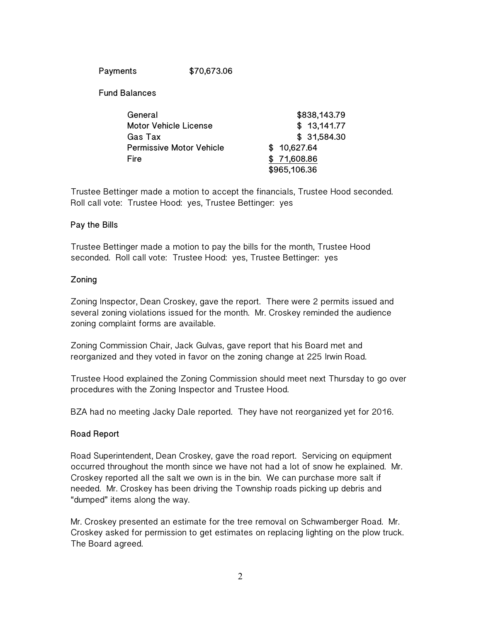**Payments \$70,673.06** 

 **Fund Balances** 

| General                         | \$838,143.79                |  |
|---------------------------------|-----------------------------|--|
| <b>Motor Vehicle License</b>    | \$13,141.77                 |  |
| Gas Tax                         | \$31,584.30                 |  |
| <b>Permissive Motor Vehicle</b> | \$10,627.64                 |  |
| Fire                            | \$71,608.86<br>\$965,106.36 |  |
|                                 |                             |  |

Trustee Bettinger made a motion to accept the financials, Trustee Hood seconded. Roll call vote: Trustee Hood: yes, Trustee Bettinger: yes

#### **Pay the Bills**

Trustee Bettinger made a motion to pay the bills for the month, Trustee Hood seconded. Roll call vote: Trustee Hood: yes, Trustee Bettinger: yes

#### **Zoning**

Zoning Inspector, Dean Croskey, gave the report. There were 2 permits issued and several zoning violations issued for the month. Mr. Croskey reminded the audience zoning complaint forms are available.

Zoning Commission Chair, Jack Gulvas, gave report that his Board met and reorganized and they voted in favor on the zoning change at 225 Irwin Road.

Trustee Hood explained the Zoning Commission should meet next Thursday to go over procedures with the Zoning Inspector and Trustee Hood.

BZA had no meeting Jacky Dale reported. They have not reorganized yet for 2016.

### **Road Report**

Road Superintendent, Dean Croskey, gave the road report. Servicing on equipment occurred throughout the month since we have not had a lot of snow he explained. Mr. Croskey reported all the salt we own is in the bin. We can purchase more salt if needed. Mr. Croskey has been driving the Township roads picking up debris and "dumped" items along the way.

Mr. Croskey presented an estimate for the tree removal on Schwamberger Road. Mr. Croskey asked for permission to get estimates on replacing lighting on the plow truck. The Board agreed.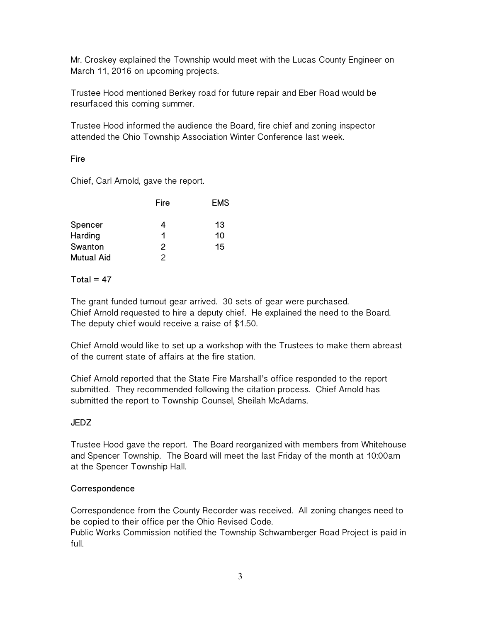Mr. Croskey explained the Township would meet with the Lucas County Engineer on March 11, 2016 on upcoming projects.

Trustee Hood mentioned Berkey road for future repair and Eber Road would be resurfaced this coming summer.

Trustee Hood informed the audience the Board, fire chief and zoning inspector attended the Ohio Township Association Winter Conference last week.

### **Fire**

Chief, Carl Arnold, gave the report.

|                   | Fire | <b>EMS</b> |
|-------------------|------|------------|
| Spencer           | 4    | 13         |
| Harding           | 1    | 10         |
| Swanton           | 2    | 15         |
| <b>Mutual Aid</b> | 2    |            |

**Total = 47** 

The grant funded turnout gear arrived. 30 sets of gear were purchased. Chief Arnold requested to hire a deputy chief. He explained the need to the Board. The deputy chief would receive a raise of \$1.50.

Chief Arnold would like to set up a workshop with the Trustees to make them abreast of the current state of affairs at the fire station.

Chief Arnold reported that the State Fire Marshall's office responded to the report submitted. They recommended following the citation process. Chief Arnold has submitted the report to Township Counsel, Sheilah McAdams.

# **JEDZ**

Trustee Hood gave the report. The Board reorganized with members from Whitehouse and Spencer Township. The Board will meet the last Friday of the month at 10:00am at the Spencer Township Hall.

### **Correspondence**

Correspondence from the County Recorder was received. All zoning changes need to be copied to their office per the Ohio Revised Code.

Public Works Commission notified the Township Schwamberger Road Project is paid in full.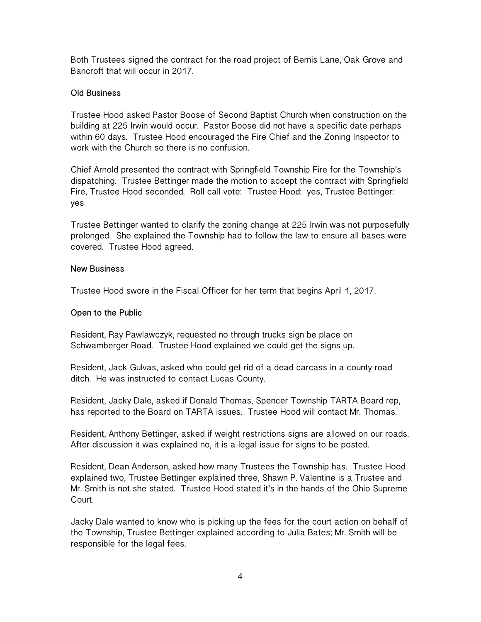Both Trustees signed the contract for the road project of Bemis Lane, Oak Grove and Bancroft that will occur in 2017.

## **Old Business**

Trustee Hood asked Pastor Boose of Second Baptist Church when construction on the building at 225 Irwin would occur. Pastor Boose did not have a specific date perhaps within 60 days. Trustee Hood encouraged the Fire Chief and the Zoning Inspector to work with the Church so there is no confusion.

Chief Arnold presented the contract with Springfield Township Fire for the Township's dispatching. Trustee Bettinger made the motion to accept the contract with Springfield Fire, Trustee Hood seconded. Roll call vote: Trustee Hood: yes, Trustee Bettinger: yes

Trustee Bettinger wanted to clarify the zoning change at 225 Irwin was not purposefully prolonged. She explained the Township had to follow the law to ensure all bases were covered. Trustee Hood agreed.

### **New Business**

Trustee Hood swore in the Fiscal Officer for her term that begins April 1, 2017.

#### **Open to the Public**

Resident, Ray Pawlawczyk, requested no through trucks sign be place on Schwamberger Road. Trustee Hood explained we could get the signs up.

Resident, Jack Gulvas, asked who could get rid of a dead carcass in a county road ditch. He was instructed to contact Lucas County.

Resident, Jacky Dale, asked if Donald Thomas, Spencer Township TARTA Board rep, has reported to the Board on TARTA issues. Trustee Hood will contact Mr. Thomas.

Resident, Anthony Bettinger, asked if weight restrictions signs are allowed on our roads. After discussion it was explained no, it is a legal issue for signs to be posted.

Resident, Dean Anderson, asked how many Trustees the Township has. Trustee Hood explained two, Trustee Bettinger explained three, Shawn P. Valentine is a Trustee and Mr. Smith is not she stated. Trustee Hood stated it's in the hands of the Ohio Supreme Court.

Jacky Dale wanted to know who is picking up the fees for the court action on behalf of the Township, Trustee Bettinger explained according to Julia Bates; Mr. Smith will be responsible for the legal fees.